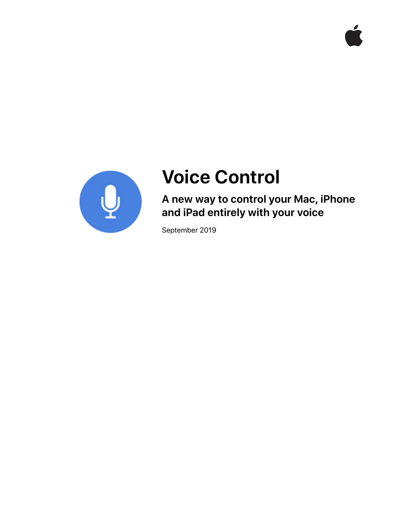



# **Voice Control**

**A new way to control your Mac, iPhone and iPad entirely with your voice** 

September 2019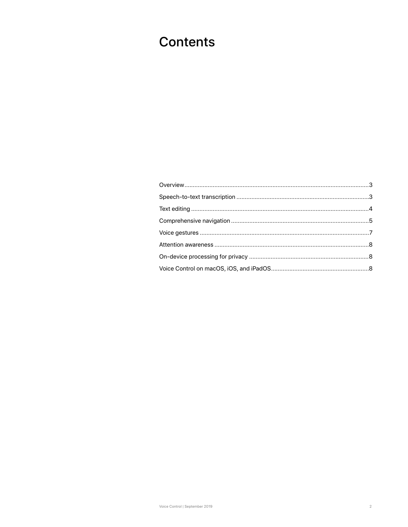## **Contents**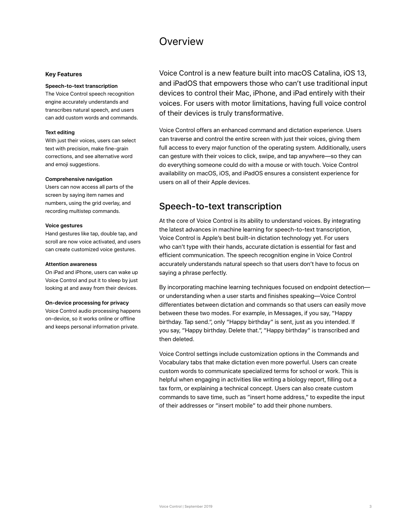### **Overview**

#### <span id="page-2-0"></span>**Key Features**

#### **Speech-to-text transcription**

The Voice Control speech recognition engine accurately understands and transcribes natural speech, and users can add custom words and commands.

### **Text editing**

With just their voices, users can select text with precision, make fine-grain corrections, and see alternative word and emoji suggestions.

#### **Comprehensive navigation**

Users can now access all parts of the screen by saying item names and numbers, using the grid overlay, and recording multistep commands.

#### **Voice gestures**

Hand gestures like tap, double tap, and scroll are now voice activated, and users can create customized voice gestures.

#### **Attention awareness**

On iPad and iPhone, users can wake up Voice Control and put it to sleep by just looking at and away from their devices.

#### **On-device processing for privacy**

Voice Control audio processing happens on-device, so it works online or offline and keeps personal information private.

Voice Control is a new feature built into macOS Catalina, iOS 13, and iPadOS that empowers those who can't use traditional input devices to control their Mac, iPhone, and iPad entirely with their voices. For users with motor limitations, having full voice control of their devices is truly transformative.

Voice Control offers an enhanced command and dictation experience. Users can traverse and control the entire screen with just their voices, giving them full access to every major function of the operating system. Additionally, users can gesture with their voices to click, swipe, and tap anywhere—so they can do everything someone could do with a mouse or with touch. Voice Control availability on macOS, iOS, and iPadOS ensures a consistent experience for users on all of their Apple devices.

### Speech-to-text transcription

At the core of Voice Control is its ability to understand voices. By integrating the latest advances in machine learning for speech-to-text transcription, Voice Control is Apple's best built-in dictation technology yet. For users who can't type with their hands, accurate dictation is essential for fast and efficient communication. The speech recognition engine in Voice Control accurately understands natural speech so that users don't have to focus on saying a phrase perfectly.

By incorporating machine learning techniques focused on endpoint detection or understanding when a user starts and finishes speaking—Voice Control differentiates between dictation and commands so that users can easily move between these two modes. For example, in Messages, if you say, "Happy birthday. Tap send.", only "Happy birthday" is sent, just as you intended. If you say, "Happy birthday. Delete that.", "Happy birthday" is transcribed and then deleted.

Voice Control settings include customization options in the Commands and Vocabulary tabs that make dictation even more powerful. Users can create custom words to communicate specialized terms for school or work. This is helpful when engaging in activities like writing a biology report, filling out a tax form, or explaining a technical concept. Users can also create custom commands to save time, such as "insert home address," to expedite the input of their addresses or "insert mobile" to add their phone numbers.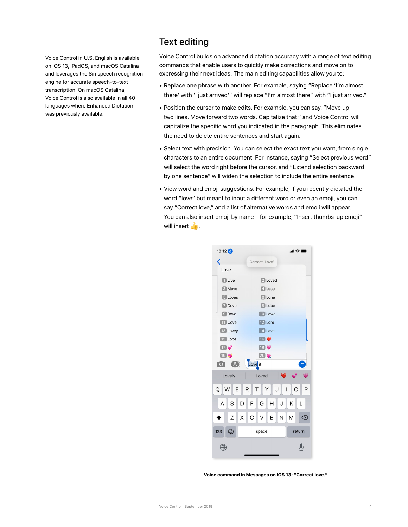<span id="page-3-0"></span>Voice Control in U.S. English is available on iOS 13, iPadOS, and macOS Catalina and leverages the Siri speech recognition engine for accurate speech-to-text transcription. On macOS Catalina, Voice Control is also available in all 40 languages where Enhanced Dictation was previously available.

### Text editing

Voice Control builds on advanced dictation accuracy with a range of text editing commands that enable users to quickly make corrections and move on to expressing their next ideas. The main editing capabilities allow you to:

- Replace one phrase with another. For example, saying "Replace 'I'm almost there' with 'I just arrived'" will replace "I'm almost there" with "I just arrived."
- Position the cursor to make edits. For example, you can say, "Move up two lines. Move forward two words. Capitalize that." and Voice Control will capitalize the specific word you indicated in the paragraph. This eliminates the need to delete entire sentences and start again.
- Select text with precision. You can select the exact text you want, from single characters to an entire document. For instance, saying "Select previous word" will select the word right before the cursor, and "Extend selection backward by one sentence" will widen the selection to include the entire sentence.
- View word and emoji suggestions. For example, if you recently dictated the word "love" but meant to input a different word or even an emoji, you can say "Correct love," and a list of alternative words and emoji will appear. You can also insert emoji by name—for example, "Insert thumbs-up emoji" will insert  $\mathbf{E}$ .



**Voice command in Messages on iOS 13: "Correct love."**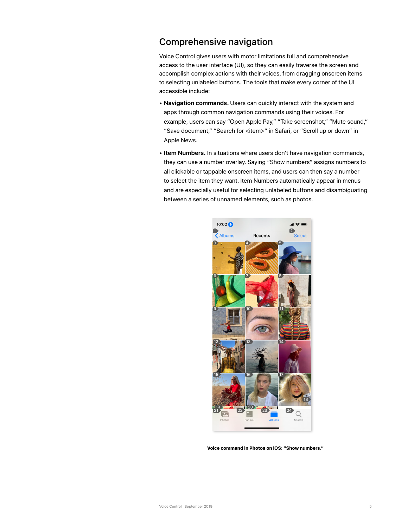### <span id="page-4-0"></span>Comprehensive navigation

Voice Control gives users with motor limitations full and comprehensive access to the user interface (UI), so they can easily traverse the screen and accomplish complex actions with their voices, from dragging onscreen items to selecting unlabeled buttons. The tools that make every corner of the UI accessible include:

- **Navigation commands.** Users can quickly interact with the system and apps through common navigation commands using their voices. For example, users can say "Open Apple Pay," "Take screenshot," "Mute sound," "Save document," "Search for <item>" in Safari, or "Scroll up or down" in Apple News.
- **Item Numbers.** In situations where users don't have navigation commands, they can use a number overlay. Saying "Show numbers" assigns numbers to all clickable or tappable onscreen items, and users can then say a number to select the item they want. Item Numbers automatically appear in menus and are especially useful for selecting unlabeled buttons and disambiguating between a series of unnamed elements, such as photos.



**Voice command in Photos on iOS: "Show numbers."**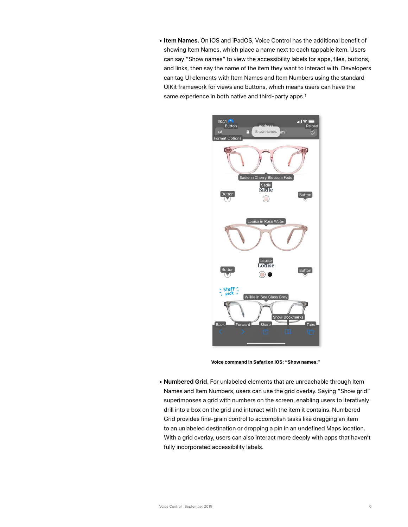• **Item Names.** On iOS and iPadOS, Voice Control has the additional benefit of showing Item Names, which place a name next to each tappable item. Users can say "Show names" to view the accessibility labels for apps, files, buttons, and links, then say the name of the item they want to interact with. Developers can tag UI elements with Item Names and Item Numbers using the standard UIKit framework for views and buttons, which means users can have the same experience in both native and third-party apps.<sup>1</sup>



**Voice command in Safari on iOS: "Show names."**

• **Numbered Grid.** For unlabeled elements that are unreachable through Item Names and Item Numbers, users can use the grid overlay. Saying "Show grid" superimposes a grid with numbers on the screen, enabling users to iteratively drill into a box on the grid and interact with the item it contains. Numbered Grid provides fine-grain control to accomplish tasks like dragging an item to an unlabeled destination or dropping a pin in an undefined Maps location. With a grid overlay, users can also interact more deeply with apps that haven't fully incorporated accessibility labels.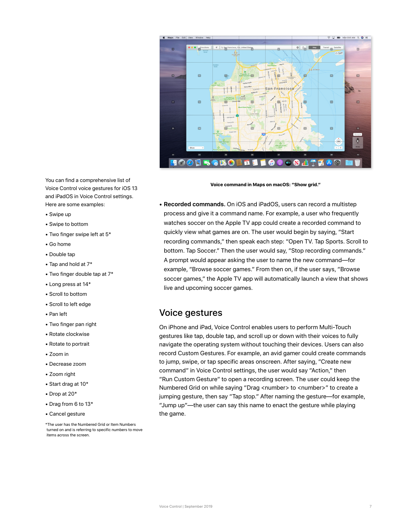<span id="page-6-0"></span>

You can find a comprehensive list of Voice Control voice gestures for iOS 13 and iPadOS in Voice Control settings. Here are some examples:

- Swipe up
- Swipe to bottom
- Two finger swipe left at 5\*
- Go home
- Double tap
- Tap and hold at 7\*
- Two finger double tap at 7\*
- Long press at 14\*
- Scroll to bottom
- Scroll to left edge
- Pan left
- Two finger pan right
- Rotate clockwise
- Rotate to portrait
- Zoom in
- Decrease zoom
- Zoom right
- Start drag at 10\*
- Drop at 20\*
- Drag from 6 to 13\*
- Cancel gesture

\*The user has the Numbered Grid or Item Numbers turned on and is referring to specific numbers to move items across the screen.

**Voice command in Maps on macOS: "Show grid."**

• **Recorded commands.** On iOS and iPadOS, users can record a multistep process and give it a command name. For example, a user who frequently watches soccer on the Apple TV app could create a recorded command to quickly view what games are on. The user would begin by saying, "Start recording commands," then speak each step: "Open TV. Tap Sports. Scroll to bottom. Tap Soccer." Then the user would say, "Stop recording commands." A prompt would appear asking the user to name the new command—for example, "Browse soccer games." From then on, if the user says, "Browse soccer games," the Apple TV app will automatically launch a view that shows live and upcoming soccer games.

### Voice gestures

On iPhone and iPad, Voice Control enables users to perform Multi-Touch gestures like tap, double tap, and scroll up or down with their voices to fully navigate the operating system without touching their devices. Users can also record Custom Gestures. For example, an avid gamer could create commands to jump, swipe, or tap specific areas onscreen. After saying, "Create new command" in Voice Control settings, the user would say "Action," then "Run Custom Gesture" to open a recording screen. The user could keep the Numbered Grid on while saying "Drag <number> to <number>" to create a jumping gesture, then say "Tap stop." After naming the gesture—for example, "Jump up"—the user can say this name to enact the gesture while playing the game.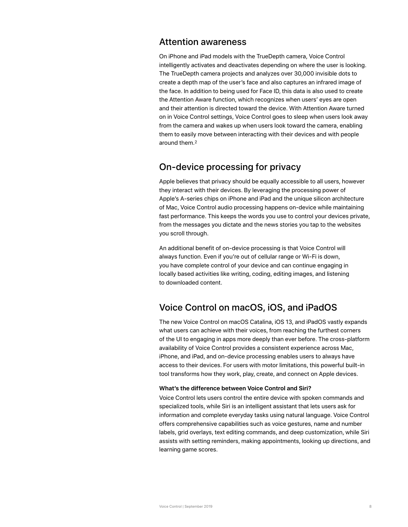### <span id="page-7-0"></span>Attention awareness

On iPhone and iPad models with the TrueDepth camera, Voice Control intelligently activates and deactivates depending on where the user is looking. The TrueDepth camera projects and analyzes over 30,000 invisible dots to create a depth map of the user's face and also captures an infrared image of the face. In addition to being used for Face ID, this data is also used to create the Attention Aware function, which recognizes when users' eyes are open and their attention is directed toward the device. With Attention Aware turned on in Voice Control settings, Voice Control goes to sleep when users look away from the camera and wakes up when users look toward the camera, enabling them to easily move between interacting with their devices and with people around them.2

### On-device processing for privacy

Apple believes that privacy should be equally accessible to all users, however they interact with their devices. By leveraging the processing power of Apple's A-series chips on iPhone and iPad and the unique silicon architecture of Mac, Voice Control audio processing happens on-device while maintaining fast performance. This keeps the words you use to control your devices private, from the messages you dictate and the news stories you tap to the websites you scroll through.

An additional benefit of on-device processing is that Voice Control will always function. Even if you're out of cellular range or Wi-Fi is down, you have complete control of your device and can continue engaging in locally based activities like writing, coding, editing images, and listening to downloaded content.

### Voice Control on macOS, iOS, and iPadOS

The new Voice Control on macOS Catalina, iOS 13, and iPadOS vastly expands what users can achieve with their voices, from reaching the furthest corners of the UI to engaging in apps more deeply than ever before. The cross-platform availability of Voice Control provides a consistent experience across Mac, iPhone, and iPad, and on-device processing enables users to always have access to their devices. For users with motor limitations, this powerful built-in tool transforms how they work, play, create, and connect on Apple devices.

### **What's the difference between Voice Control and Siri?**

Voice Control lets users control the entire device with spoken commands and specialized tools, while Siri is an intelligent assistant that lets users ask for information and complete everyday tasks using natural language. Voice Control offers comprehensive capabilities such as voice gestures, name and number labels, grid overlays, text editing commands, and deep customization, while Siri assists with setting reminders, making appointments, looking up directions, and learning game scores.